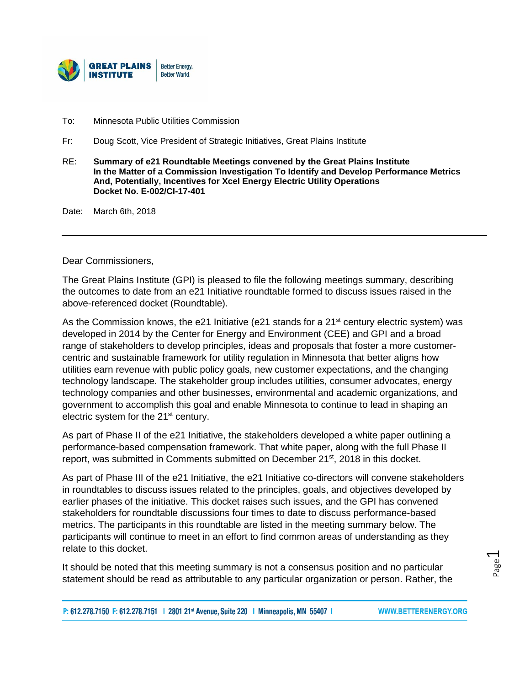

- To: Minnesota Public Utilities Commission
- Fr: Doug Scott, Vice President of Strategic Initiatives, Great Plains Institute
- RE: **Summary of e21 Roundtable Meetings convened by the Great Plains Institute In the Matter of a Commission Investigation To Identify and Develop Performance Metrics And, Potentially, Incentives for Xcel Energy Electric Utility Operations Docket No. E-002/CI-17-401**

Date: March 6th, 2018

Dear Commissioners,

The Great Plains Institute (GPI) is pleased to file the following meetings summary, describing the outcomes to date from an e21 Initiative roundtable formed to discuss issues raised in the above-referenced docket (Roundtable).

As the Commission knows, the e21 Initiative (e21 stands for a  $21<sup>st</sup>$  century electric system) was developed in 2014 by the Center for Energy and Environment (CEE) and GPI and a broad range of stakeholders to develop principles, ideas and proposals that foster a more customercentric and sustainable framework for utility regulation in Minnesota that better aligns how utilities earn revenue with public policy goals, new customer expectations, and the changing technology landscape. The stakeholder group includes utilities, consumer advocates, energy technology companies and other businesses, environmental and academic organizations, and government to accomplish this goal and enable Minnesota to continue to lead in shaping an electric system for the 21<sup>st</sup> century.

As part of Phase II of the e21 Initiative, the stakeholders developed a white paper outlining a performance-based compensation framework. That white paper, along with the full Phase II report, was submitted in Comments submitted on December 21st, 2018 in this docket.

As part of Phase III of the e21 Initiative, the e21 Initiative co-directors will convene stakeholders in roundtables to discuss issues related to the principles, goals, and objectives developed by earlier phases of the initiative. This docket raises such issues, and the GPI has convened stakeholders for roundtable discussions four times to date to discuss performance-based metrics. The participants in this roundtable are listed in the meeting summary below. The participants will continue to meet in an effort to find common areas of understanding as they relate to this docket.

It should be noted that this meeting summary is not a consensus position and no particular statement should be read as attributable to any particular organization or person. Rather, the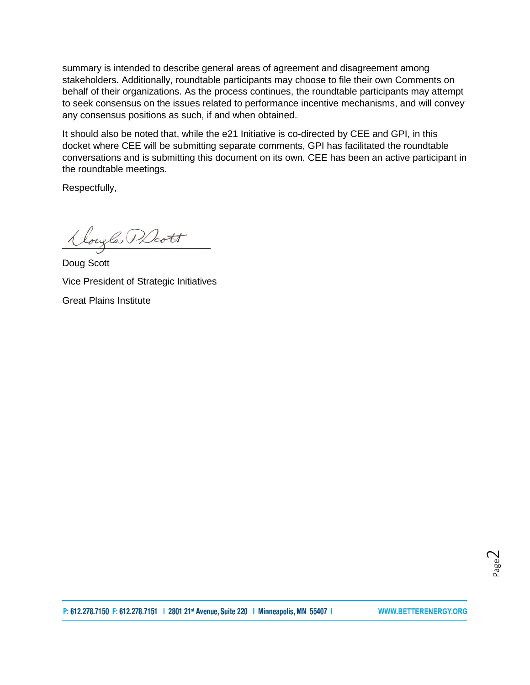summary is intended to describe general areas of agreement and disagreement among stakeholders. Additionally, roundtable participants may choose to file their own Comments on behalf of their organizations. As the process continues, the roundtable participants may attempt to seek consensus on the issues related to performance incentive mechanisms, and will convey any consensus positions as such, if and when obtained.

It should also be noted that, while the e21 Initiative is co-directed by CEE and GPI, in this docket where CEE will be submitting separate comments, GPI has facilitated the roundtable conversations and is submitting this document on its own. CEE has been an active participant in the roundtable meetings.

Respectfully,

Klouglas PDcott

Doug Scott Vice President of Strategic Initiatives Great Plains Institute

P: 612.278.7150 F: 612.278.7151 | 2801 21st Avenue, Suite 220 | Minneapolis, MN 55407 |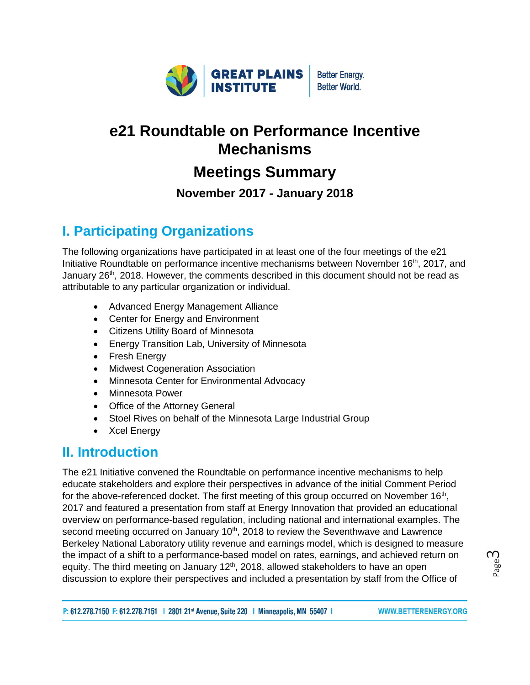

# **e21 Roundtable on Performance Incentive Mechanisms**

# **Meetings Summary**

**November 2017 - January 2018**

## **I. Participating Organizations**

The following organizations have participated in at least one of the four meetings of the e21 Initiative Roundtable on performance incentive mechanisms between November 16<sup>th</sup>, 2017, and January  $26<sup>th</sup>$ , 2018. However, the comments described in this document should not be read as attributable to any particular organization or individual.

- Advanced Energy Management Alliance
- Center for Energy and Environment
- Citizens Utility Board of Minnesota
- Energy Transition Lab, University of Minnesota
- Fresh Energy
- Midwest Cogeneration Association
- Minnesota Center for Environmental Advocacy
- Minnesota Power
- Office of the Attorney General
- Stoel Rives on behalf of the Minnesota Large Industrial Group
- Xcel Energy

### **II. Introduction**

The e21 Initiative convened the Roundtable on performance incentive mechanisms to help educate stakeholders and explore their perspectives in advance of the initial Comment Period for the above-referenced docket. The first meeting of this group occurred on November 16<sup>th</sup>, 2017 and featured a presentation from staff at Energy Innovation that provided an educational overview on performance-based regulation, including national and international examples. The second meeting occurred on January  $10<sup>th</sup>$ , 2018 to review the Seventhwave and Lawrence Berkeley National Laboratory [utility revenue and earnings model,](http://www.betterenergy.org/sites/default/files/attachments/LBNL%20and%20Seventhwave%20e21%20Modeling%20Exercise%20%28July%2014%202017%29.pdf) which is designed to measure the impact of a shift to a performance-based model on rates, earnings, and achieved return on equity. The third meeting on January  $12<sup>th</sup>$ , 2018, allowed stakeholders to have an open discussion to explore their perspectives and included a presentation by staff from the Office of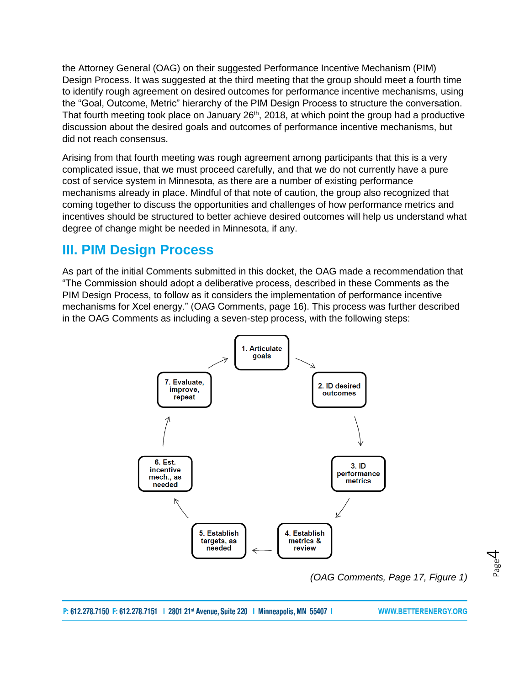the Attorney General (OAG) on their suggested Performance Incentive Mechanism (PIM) Design Process. It was suggested at the third meeting that the group should meet a fourth time to identify rough agreement on desired outcomes for performance incentive mechanisms, using the "Goal, Outcome, Metric" hierarchy of the PIM Design Process to structure the conversation. That fourth meeting took place on January 26<sup>th</sup>, 2018, at which point the group had a productive discussion about the desired goals and outcomes of performance incentive mechanisms, but did not reach consensus.

Arising from that fourth meeting was rough agreement among participants that this is a very complicated issue, that we must proceed carefully, and that we do not currently have a pure cost of service system in Minnesota, as there are a number of existing performance mechanisms already in place. Mindful of that note of caution, the group also recognized that coming together to discuss the opportunities and challenges of how performance metrics and incentives should be structured to better achieve desired outcomes will help us understand what degree of change might be needed in Minnesota, if any.

### **III. PIM Design Process**

As part of the initial Comments submitted in this docket, the OAG made a recommendation that "The Commission should adopt a deliberative process, described in these Comments as the PIM Design Process, to follow as it considers the implementation of performance incentive mechanisms for Xcel energy." (OAG Comments, page 16). This process was further described in the OAG Comments as including a seven-step process, with the following steps:



*(OAG Comments, Page 17, Figure 1)*

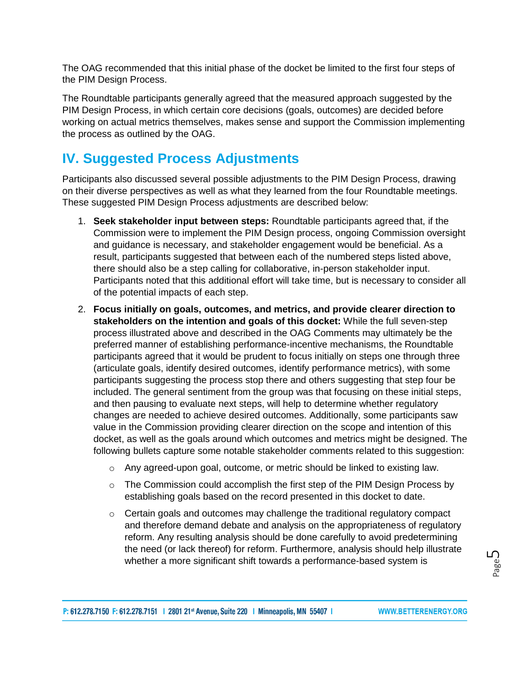The OAG recommended that this initial phase of the docket be limited to the first four steps of the PIM Design Process.

The Roundtable participants generally agreed that the measured approach suggested by the PIM Design Process, in which certain core decisions (goals, outcomes) are decided before working on actual metrics themselves, makes sense and support the Commission implementing the process as outlined by the OAG.

## **IV. Suggested Process Adjustments**

Participants also discussed several possible adjustments to the PIM Design Process, drawing on their diverse perspectives as well as what they learned from the four Roundtable meetings. These suggested PIM Design Process adjustments are described below:

- 1. **Seek stakeholder input between steps:** Roundtable participants agreed that, if the Commission were to implement the PIM Design process, ongoing Commission oversight and guidance is necessary, and stakeholder engagement would be beneficial. As a result, participants suggested that between each of the numbered steps listed above, there should also be a step calling for collaborative, in-person stakeholder input. Participants noted that this additional effort will take time, but is necessary to consider all of the potential impacts of each step.
- 2. **Focus initially on goals, outcomes, and metrics, and provide clearer direction to stakeholders on the intention and goals of this docket:** While the full seven-step process illustrated above and described in the OAG Comments may ultimately be the preferred manner of establishing performance-incentive mechanisms, the Roundtable participants agreed that it would be prudent to focus initially on steps one through three (articulate goals, identify desired outcomes, identify performance metrics), with some participants suggesting the process stop there and others suggesting that step four be included. The general sentiment from the group was that focusing on these initial steps, and then pausing to evaluate next steps, will help to determine whether regulatory changes are needed to achieve desired outcomes. Additionally, some participants saw value in the Commission providing clearer direction on the scope and intention of this docket, as well as the goals around which outcomes and metrics might be designed. The following bullets capture some notable stakeholder comments related to this suggestion:
	- $\circ$  Any agreed-upon goal, outcome, or metric should be linked to existing law.
	- o The Commission could accomplish the first step of the PIM Design Process by establishing goals based on the record presented in this docket to date.
	- o Certain goals and outcomes may challenge the traditional regulatory compact and therefore demand debate and analysis on the appropriateness of regulatory reform. Any resulting analysis should be done carefully to avoid predetermining the need (or lack thereof) for reform. Furthermore, analysis should help illustrate whether a more significant shift towards a performance-based system is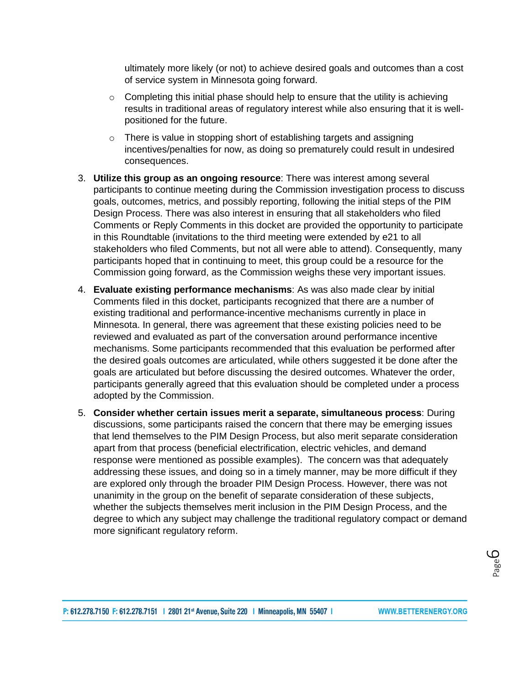ultimately more likely (or not) to achieve desired goals and outcomes than a cost of service system in Minnesota going forward.

- $\circ$  Completing this initial phase should help to ensure that the utility is achieving results in traditional areas of regulatory interest while also ensuring that it is wellpositioned for the future.
- o There is value in stopping short of establishing targets and assigning incentives/penalties for now, as doing so prematurely could result in undesired consequences.
- 3. **Utilize this group as an ongoing resource**: There was interest among several participants to continue meeting during the Commission investigation process to discuss goals, outcomes, metrics, and possibly reporting, following the initial steps of the PIM Design Process. There was also interest in ensuring that all stakeholders who filed Comments or Reply Comments in this docket are provided the opportunity to participate in this Roundtable (invitations to the third meeting were extended by e21 to all stakeholders who filed Comments, but not all were able to attend). Consequently, many participants hoped that in continuing to meet, this group could be a resource for the Commission going forward, as the Commission weighs these very important issues.
- 4. **Evaluate existing performance mechanisms**: As was also made clear by initial Comments filed in this docket, participants recognized that there are a number of existing traditional and performance-incentive mechanisms currently in place in Minnesota. In general, there was agreement that these existing policies need to be reviewed and evaluated as part of the conversation around performance incentive mechanisms. Some participants recommended that this evaluation be performed after the desired goals outcomes are articulated, while others suggested it be done after the goals are articulated but before discussing the desired outcomes. Whatever the order, participants generally agreed that this evaluation should be completed under a process adopted by the Commission.
- 5. **Consider whether certain issues merit a separate, simultaneous process**: During discussions, some participants raised the concern that there may be emerging issues that lend themselves to the PIM Design Process, but also merit separate consideration apart from that process (beneficial electrification, electric vehicles, and demand response were mentioned as possible examples). The concern was that adequately addressing these issues, and doing so in a timely manner, may be more difficult if they are explored only through the broader PIM Design Process. However, there was not unanimity in the group on the benefit of separate consideration of these subjects, whether the subjects themselves merit inclusion in the PIM Design Process, and the degree to which any subject may challenge the traditional regulatory compact or demand more significant regulatory reform.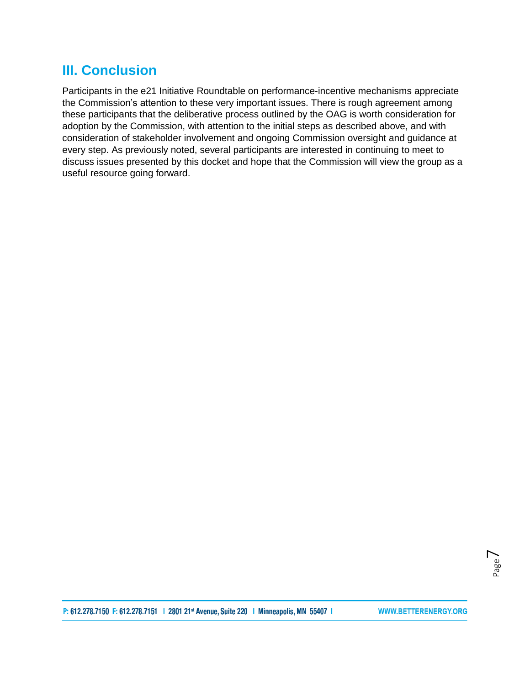### **III. Conclusion**

Participants in the e21 Initiative Roundtable on performance-incentive mechanisms appreciate the Commission's attention to these very important issues. There is rough agreement among these participants that the deliberative process outlined by the OAG is worth consideration for adoption by the Commission, with attention to the initial steps as described above, and with consideration of stakeholder involvement and ongoing Commission oversight and guidance at every step. As previously noted, several participants are interested in continuing to meet to discuss issues presented by this docket and hope that the Commission will view the group as a useful resource going forward.

P: 612.278.7150 F: 612.278.7151 | 2801 21st Avenue, Suite 220 | Minneapolis, MN 55407 |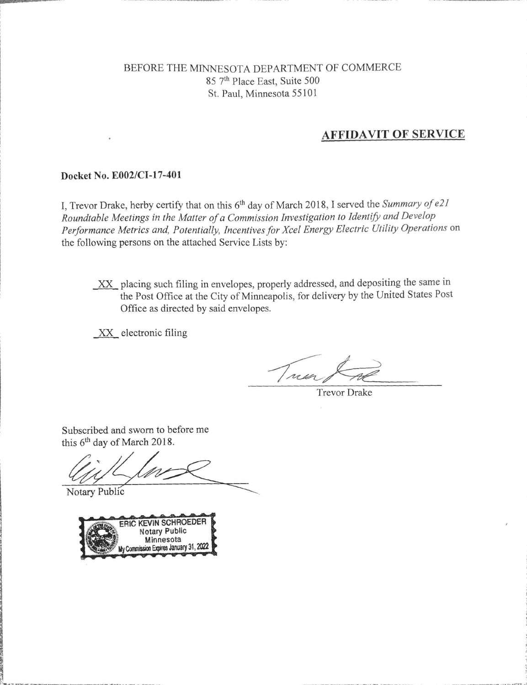#### BEFORE THE MINNESOTA DEPARTMENT OF COMMERCE 85 7th Place East, Suite 500 St. Paul, Minnesota 55101

#### **AFFIDAVIT OF SERVICE**

#### Docket No. E002/CI-17-401

I, Trevor Drake, herby certify that on this 6<sup>th</sup> day of March 2018, I served the Summary of e21 Roundtable Meetings in the Matter of a Commission Investigation to Identify and Develop Performance Metrics and, Potentially, Incentives for Xcel Energy Electric Utility Operations on the following persons on the attached Service Lists by:

XX placing such filing in envelopes, properly addressed, and depositing the same in the Post Office at the City of Minneapolis, for delivery by the United States Post Office as directed by said envelopes.

XX electronic filing

Treng

**Trevor Drake** 

Subscribed and sworn to before me this 6<sup>th</sup> day of March 2018.

Notary Public

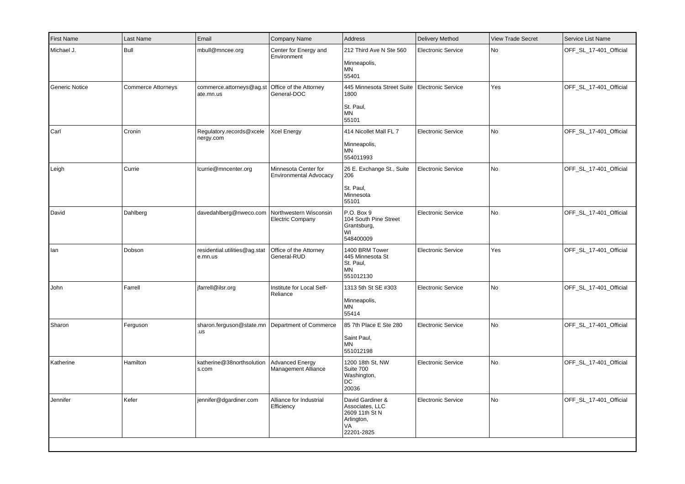| First Name     | Last Name                 | Email                                    | <b>Company Name</b>                               | Address                                                                                    | <b>Delivery Method</b>    | <b>View Trade Secret</b> | Service List Name      |
|----------------|---------------------------|------------------------------------------|---------------------------------------------------|--------------------------------------------------------------------------------------------|---------------------------|--------------------------|------------------------|
| Michael J.     | Bull                      | mbull@mncee.org                          | Center for Energy and<br>Environment              | 212 Third Ave N Ste 560<br>Minneapolis,<br>MN<br>55401                                     | <b>Electronic Service</b> | No                       | OFF SL 17-401 Official |
| Generic Notice | <b>Commerce Attorneys</b> | commerce.attorneys@ag.st<br>ate.mn.us    | Office of the Attorney<br>General-DOC             | 445 Minnesota Street Suite   Electronic Service<br>1800<br>St. Paul,<br><b>MN</b><br>55101 |                           | Yes                      | OFF_SL_17-401_Official |
| Carl           | Cronin                    | Regulatory.records@xcele<br>nergy.com    | <b>Xcel Energy</b>                                | 414 Nicollet Mall FL 7<br>Minneapolis,<br>ΜN<br>554011993                                  | <b>Electronic Service</b> | No                       | OFF_SL_17-401_Official |
| Leigh          | Currie                    | lcurrie@mncenter.org                     | Minnesota Center for<br>Environmental Advocacy    | 26 E. Exchange St., Suite<br>206<br>St. Paul,<br>Minnesota<br>55101                        | <b>Electronic Service</b> | No                       | OFF_SL_17-401_Official |
| David          | Dahlberg                  | davedahlberg@nweco.com                   | Northwestern Wisconsin<br><b>Electric Company</b> | P.O. Box 9<br>104 South Pine Street<br>Grantsburg,<br>WI<br>548400009                      | <b>Electronic Service</b> | No                       | OFF_SL_17-401_Official |
| lan            | Dobson                    | residential.utilities@ag.stat<br>e.mn.us | Office of the Attorney<br>General-RUD             | 1400 BRM Tower<br>445 Minnesota St<br>St. Paul,<br>ΜN<br>551012130                         | <b>Electronic Service</b> | Yes                      | OFF_SL_17-401_Official |
| John           | Farrell                   | jfarrell@ilsr.org                        | Institute for Local Self-<br>Reliance             | 1313 5th St SE #303<br>Minneapolis,<br><b>MN</b><br>55414                                  | Electronic Service        | No                       | OFF_SL_17-401_Official |
| Sharon         | Ferguson                  | sharon.ferguson@state.mn<br>.us          | Department of Commerce                            | 85 7th Place E Ste 280<br>Saint Paul,<br>ΜN<br>551012198                                   | <b>Electronic Service</b> | No                       | OFF_SL_17-401_Official |
| Katherine      | Hamilton                  | katherine@38northsolution<br>s.com       | <b>Advanced Energy</b><br>Management Alliance     | 1200 18th St, NW<br>Suite 700<br>Washington,<br>DC<br>20036                                | <b>Electronic Service</b> | No                       | OFF_SL_17-401_Official |
| Jennifer       | Kefer                     | jennifer@dgardiner.com                   | Alliance for Industrial<br>Efficiency             | David Gardiner &<br>Associates, LLC<br>2609 11th St N<br>Arlington,<br>VA<br>22201-2825    | <b>Electronic Service</b> | No                       | OFF_SL_17-401_Official |